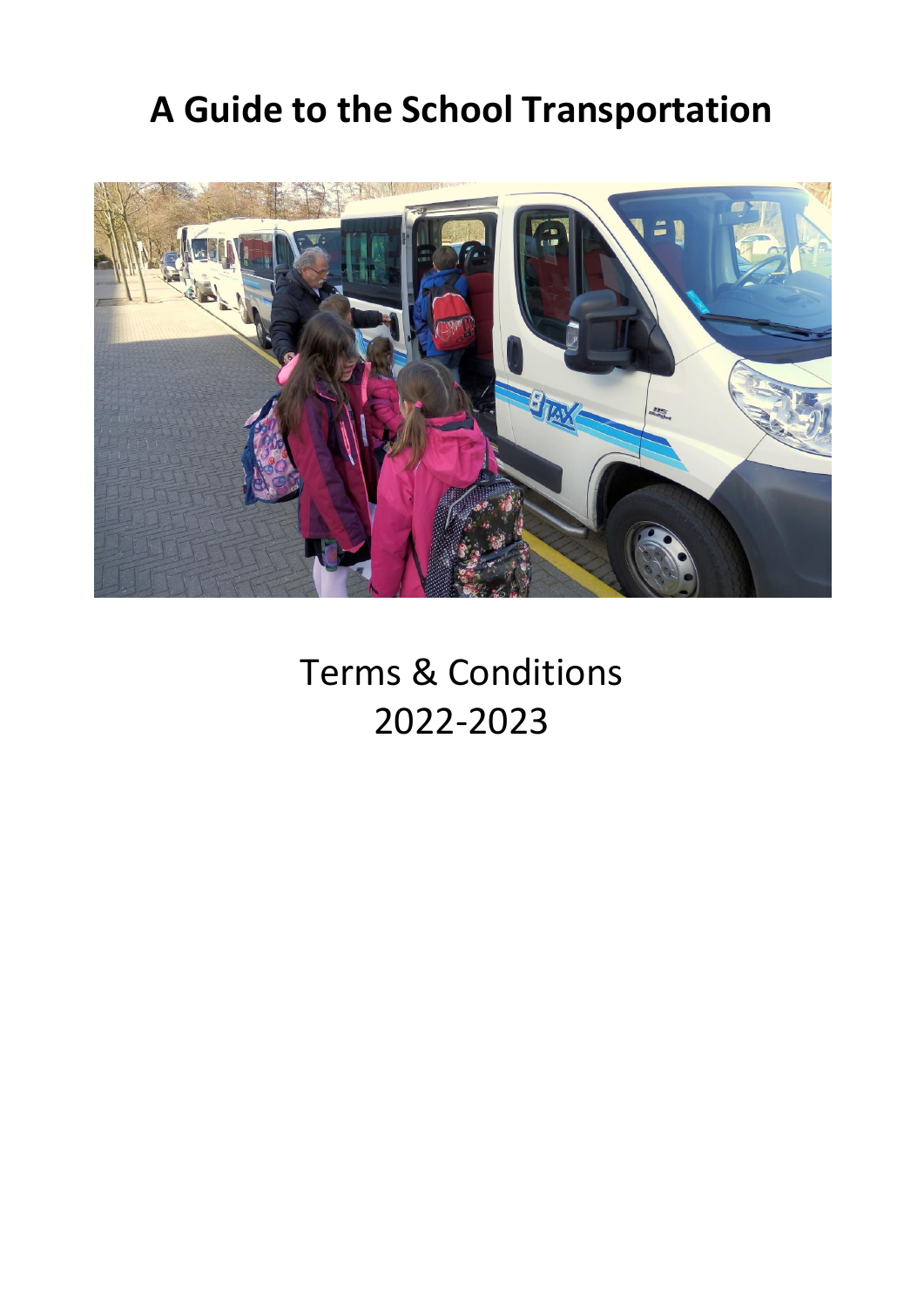# **A Guide to the School Transportation**



Terms & Conditions 2022-2023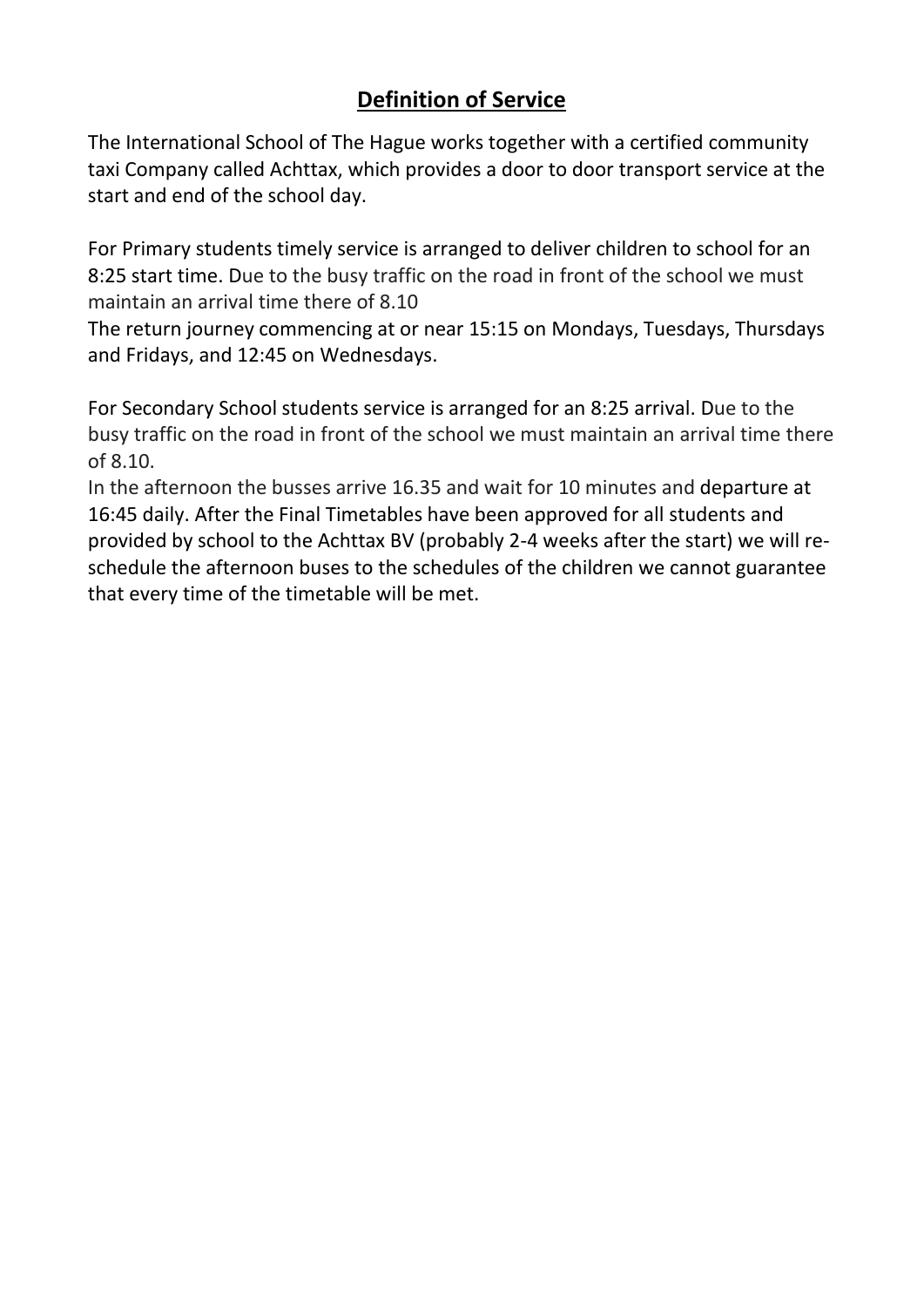# **Definition of Service**

The International School of The Hague works together with a certified community taxi Company called Achttax, which provides a door to door transport service at the start and end of the school day.

For Primary students timely service is arranged to deliver children to school for an 8:25 start time. Due to the busy traffic on the road in front of the school we must maintain an arrival time there of 8.10

The return journey commencing at or near 15:15 on Mondays, Tuesdays, Thursdays and Fridays, and 12:45 on Wednesdays.

For Secondary School students service is arranged for an 8:25 arrival. Due to the busy traffic on the road in front of the school we must maintain an arrival time there of 8.10.

In the afternoon the busses arrive 16.35 and wait for 10 minutes and departure at 16:45 daily. After the Final Timetables have been approved for all students and provided by school to the Achttax BV (probably 2-4 weeks after the start) we will reschedule the afternoon buses to the schedules of the children we cannot guarantee that every time of the timetable will be met.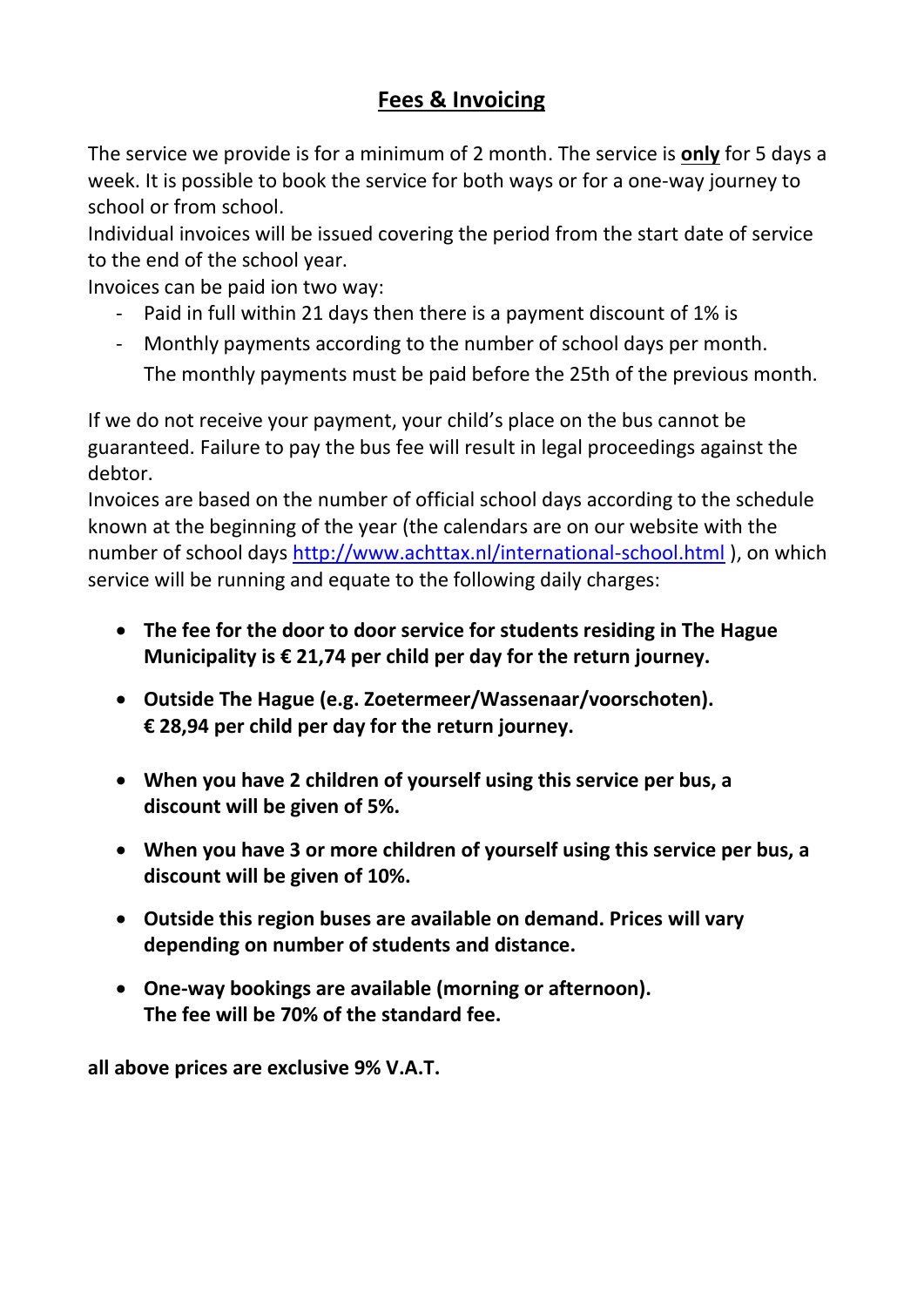# **Fees & Invoicing**

The service we provide is for a minimum of 2 month. The service is **only** for 5 days a week. It is possible to book the service for both ways or for a one-way journey to school or from school.

Individual invoices will be issued covering the period from the start date of service to the end of the school year.

Invoices can be paid ion two way:

- Paid in full within 21 days then there is a payment discount of 1% is
- Monthly payments according to the number of school days per month. The monthly payments must be paid before the 25th of the previous month.

If we do not receive your payment, your child's place on the bus cannot be guaranteed. Failure to pay the bus fee will result in legal proceedings against the debtor.

Invoices are based on the number of official school days according to the schedule known at the beginning of the year (the calendars are on our website with the number of school days<http://www.achttax.nl/international-school.html> ), on which service will be running and equate to the following daily charges:

- **The fee for the door to door service for students residing in The Hague Municipality is € 21,74 per child per day for the return journey.**
- **Outside The Hague (e.g. Zoetermeer/Wassenaar/voorschoten). € 28,94 per child per day for the return journey.**
- **When you have 2 children of yourself using this service per bus, a discount will be given of 5%.**
- **When you have 3 or more children of yourself using this service per bus, a discount will be given of 10%.**
- **Outside this region buses are available on demand. Prices will vary depending on number of students and distance.**
- **One-way bookings are available (morning or afternoon). The fee will be 70% of the standard fee.**

**all above prices are exclusive 9% V.A.T.**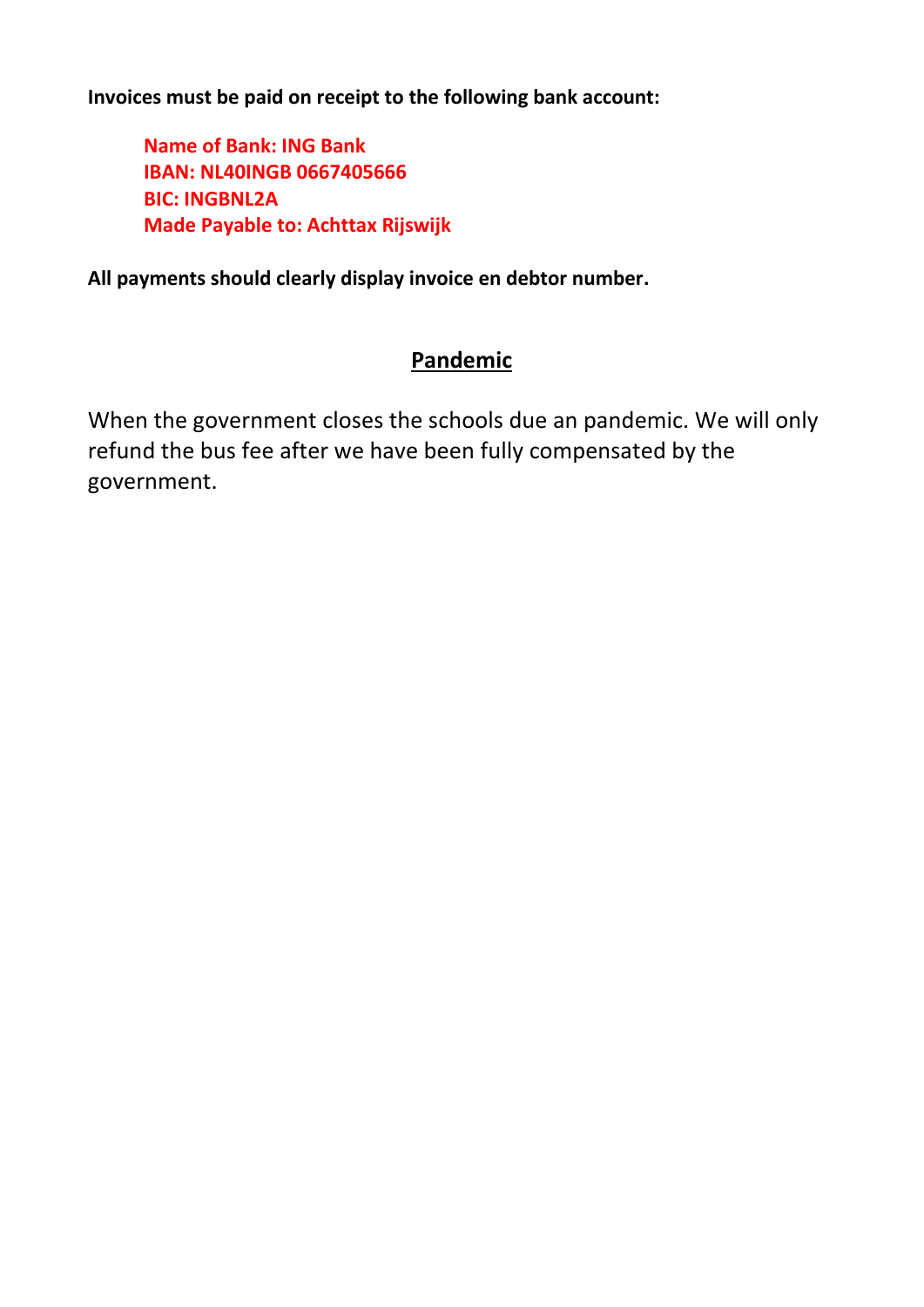**Invoices must be paid on receipt to the following bank account:**

**Name of Bank: ING Bank IBAN: NL40INGB 0667405666 BIC: INGBNL2A Made Payable to: Achttax Rijswijk**

**All payments should clearly display invoice en debtor number.**

# **Pandemic**

When the government closes the schools due an pandemic. We will only refund the bus fee after we have been fully compensated by the government.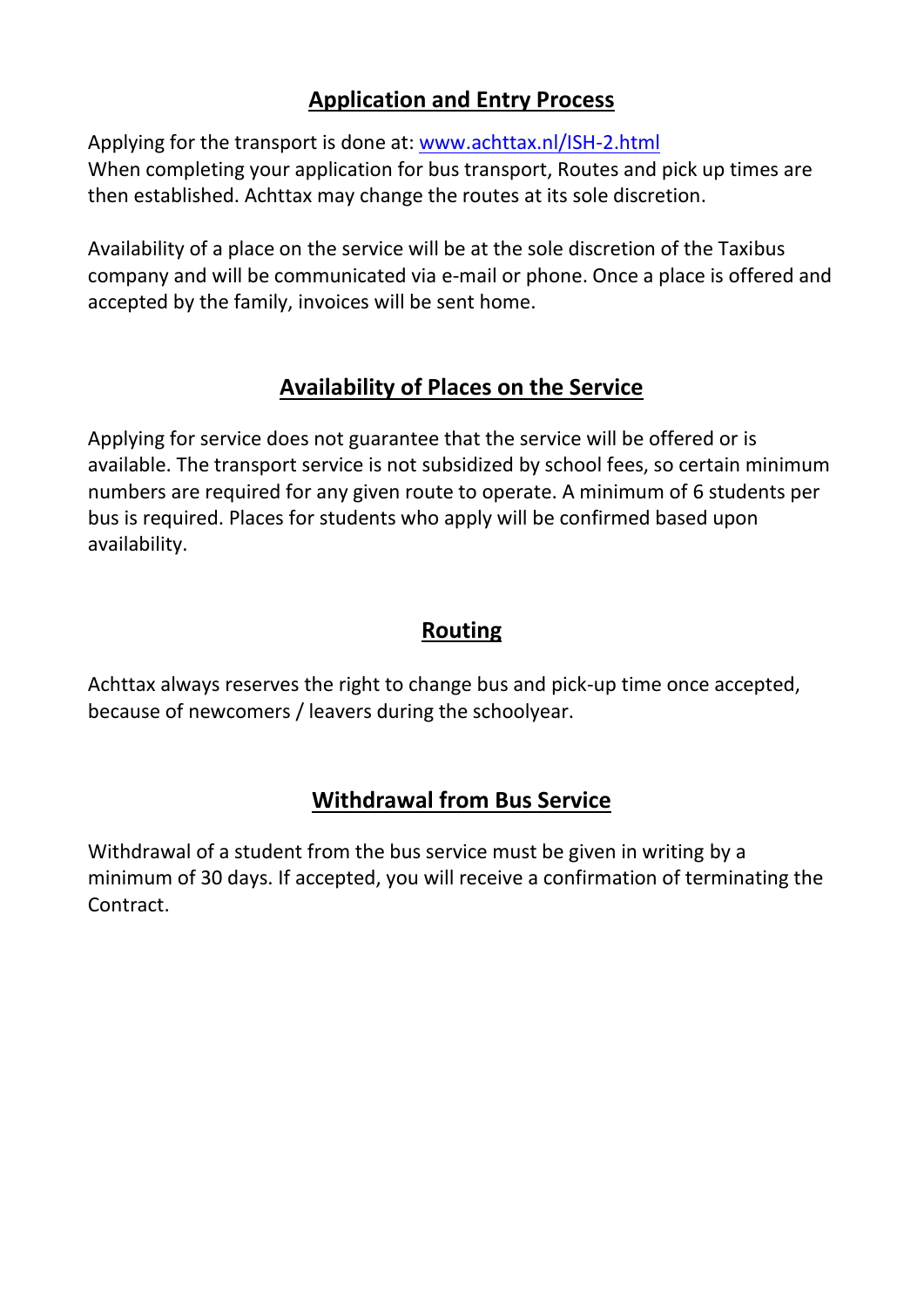# **Application and Entry Process**

Applying for the transport is done at: [www.achttax.nl/ISH-2.html](http://www.achttax.nl/ISH-2.html) When completing your application for bus transport, Routes and pick up times are then established. Achttax may change the routes at its sole discretion.

Availability of a place on the service will be at the sole discretion of the Taxibus company and will be communicated via e-mail or phone. Once a place is offered and accepted by the family, invoices will be sent home.

# **Availability of Places on the Service**

Applying for service does not guarantee that the service will be offered or is available. The transport service is not subsidized by school fees, so certain minimum numbers are required for any given route to operate. A minimum of 6 students per bus is required. Places for students who apply will be confirmed based upon availability.

# **Routing**

Achttax always reserves the right to change bus and pick-up time once accepted, because of newcomers / leavers during the schoolyear.

# **Withdrawal from Bus Service**

Withdrawal of a student from the bus service must be given in writing by a minimum of 30 days. If accepted, you will receive a confirmation of terminating the Contract.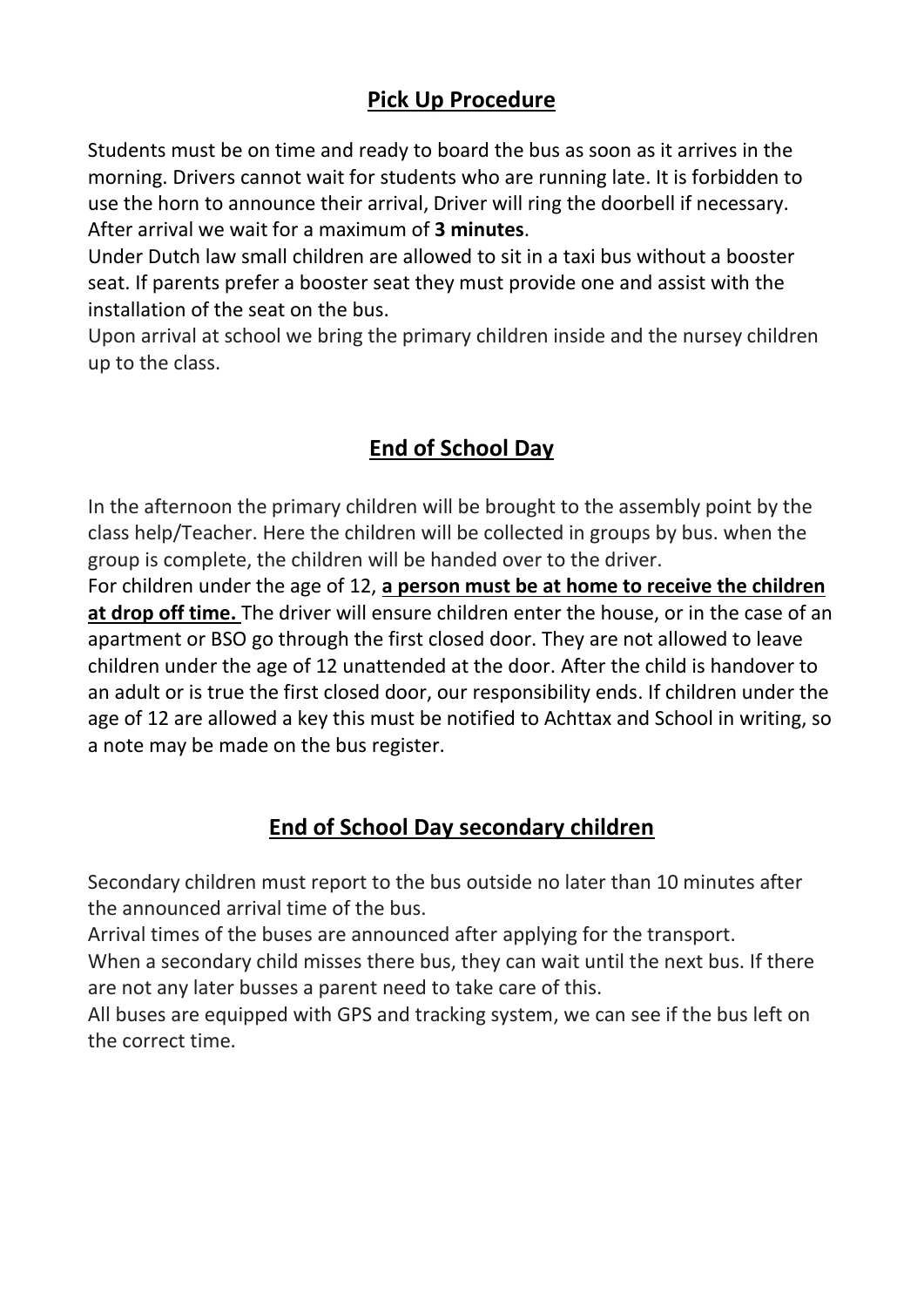# **Pick Up Procedure**

Students must be on time and ready to board the bus as soon as it arrives in the morning. Drivers cannot wait for students who are running late. It is forbidden to use the horn to announce their arrival, Driver will ring the doorbell if necessary. After arrival we wait for a maximum of **3 minutes**.

Under Dutch law small children are allowed to sit in a taxi bus without a booster seat. If parents prefer a booster seat they must provide one and assist with the installation of the seat on the bus.

Upon arrival at school we bring the primary children inside and the nursey children up to the class.

# **End of School Day**

In the afternoon the primary children will be brought to the assembly point by the class help/Teacher. Here the children will be collected in groups by bus. when the group is complete, the children will be handed over to the driver.

For children under the age of 12, **a person must be at home to receive the children at drop off time.** The driver will ensure children enter the house, or in the case of an apartment or BSO go through the first closed door. They are not allowed to leave children under the age of 12 unattended at the door. After the child is handover to an adult or is true the first closed door, our responsibility ends. If children under the age of 12 are allowed a key this must be notified to Achttax and School in writing, so a note may be made on the bus register.

# **End of School Day secondary children**

Secondary children must report to the bus outside no later than 10 minutes after the announced arrival time of the bus.

Arrival times of the buses are announced after applying for the transport.

When a secondary child misses there bus, they can wait until the next bus. If there are not any later busses a parent need to take care of this.

All buses are equipped with GPS and tracking system, we can see if the bus left on the correct time.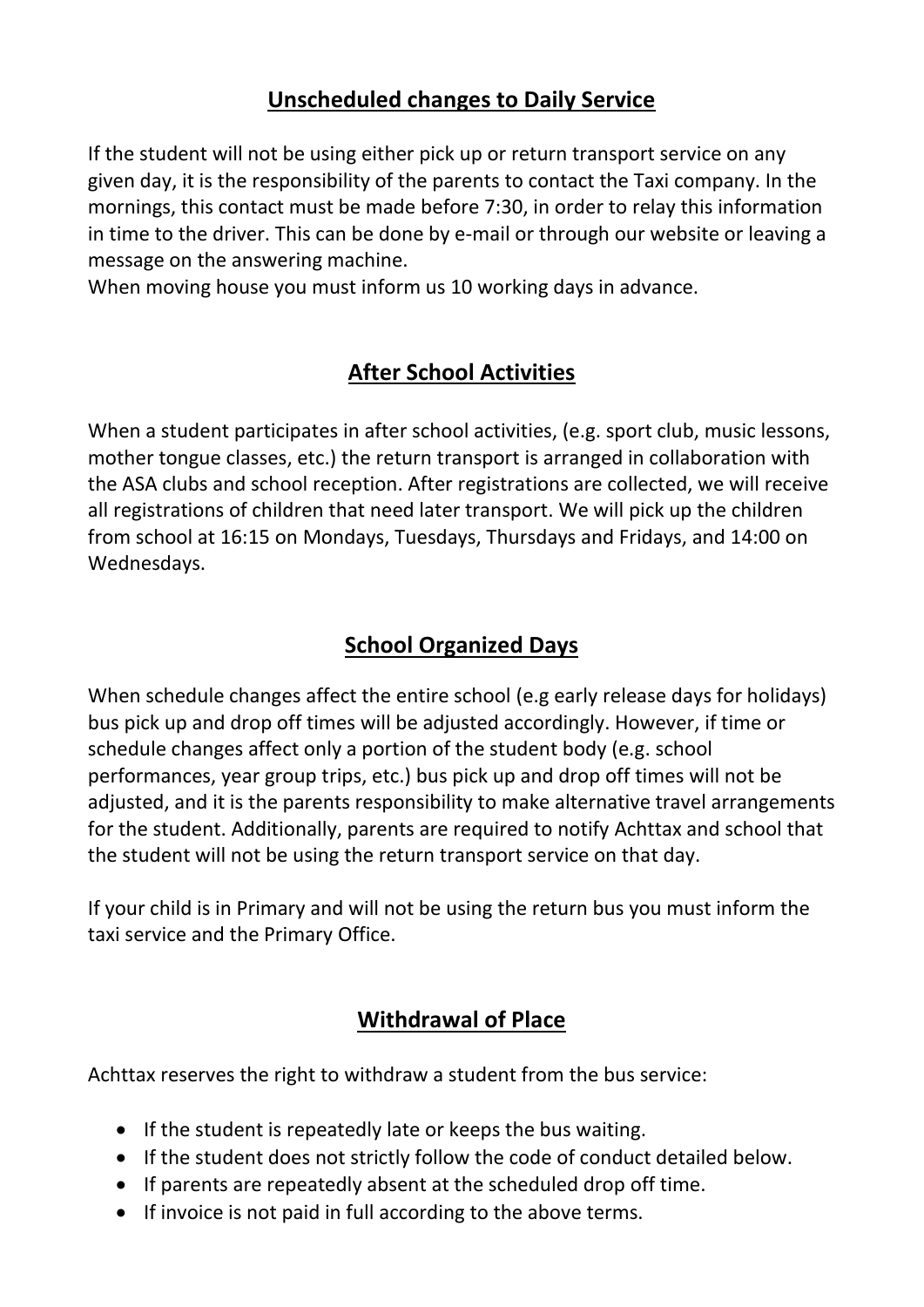# **Unscheduled changes to Daily Service**

If the student will not be using either pick up or return transport service on any given day, it is the responsibility of the parents to contact the Taxi company. In the mornings, this contact must be made before 7:30, in order to relay this information in time to the driver. This can be done by e-mail or through our website or leaving a message on the answering machine.

When moving house you must inform us 10 working days in advance.

# **After School Activities**

When a student participates in after school activities, (e.g. sport club, music lessons, mother tongue classes, etc.) the return transport is arranged in collaboration with the ASA clubs and school reception. After registrations are collected, we will receive all registrations of children that need later transport. We will pick up the children from school at 16:15 on Mondays, Tuesdays, Thursdays and Fridays, and 14:00 on Wednesdays.

# **School Organized Days**

When schedule changes affect the entire school (e.g early release days for holidays) bus pick up and drop off times will be adjusted accordingly. However, if time or schedule changes affect only a portion of the student body (e.g. school performances, year group trips, etc.) bus pick up and drop off times will not be adjusted, and it is the parents responsibility to make alternative travel arrangements for the student. Additionally, parents are required to notify Achttax and school that the student will not be using the return transport service on that day.

If your child is in Primary and will not be using the return bus you must inform the taxi service and the Primary Office.

# **Withdrawal of Place**

Achttax reserves the right to withdraw a student from the bus service:

- If the student is repeatedly late or keeps the bus waiting.
- If the student does not strictly follow the code of conduct detailed below.
- If parents are repeatedly absent at the scheduled drop off time.
- If invoice is not paid in full according to the above terms.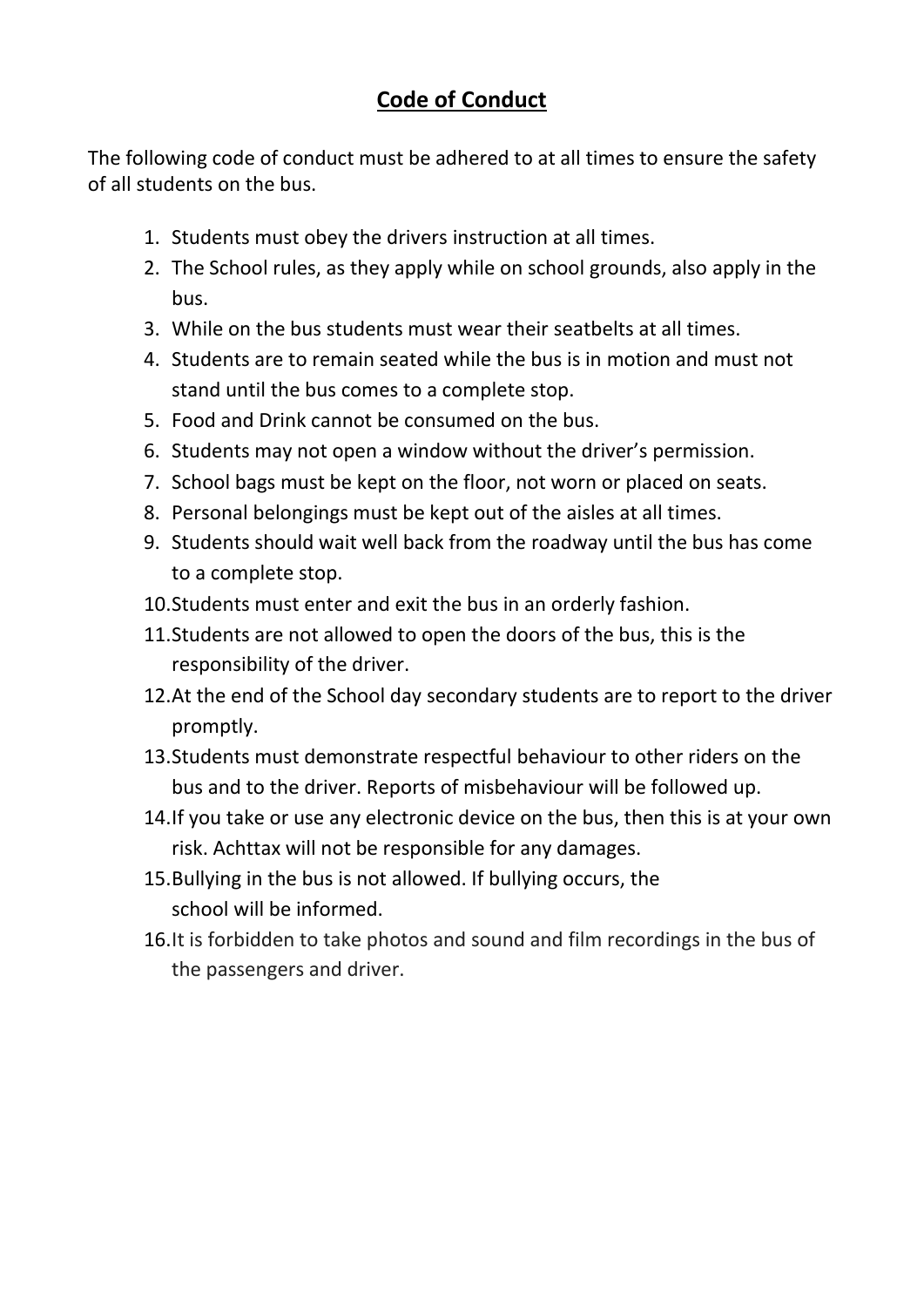# **Code of Conduct**

The following code of conduct must be adhered to at all times to ensure the safety of all students on the bus.

- 1. Students must obey the drivers instruction at all times.
- 2. The School rules, as they apply while on school grounds, also apply in the bus.
- 3. While on the bus students must wear their seatbelts at all times.
- 4. Students are to remain seated while the bus is in motion and must not stand until the bus comes to a complete stop.
- 5. Food and Drink cannot be consumed on the bus.
- 6. Students may not open a window without the driver's permission.
- 7. School bags must be kept on the floor, not worn or placed on seats.
- 8. Personal belongings must be kept out of the aisles at all times.
- 9. Students should wait well back from the roadway until the bus has come to a complete stop.
- 10.Students must enter and exit the bus in an orderly fashion.
- 11.Students are not allowed to open the doors of the bus, this is the responsibility of the driver.
- 12.At the end of the School day secondary students are to report to the driver promptly.
- 13.Students must demonstrate respectful behaviour to other riders on the bus and to the driver. Reports of misbehaviour will be followed up.
- 14.If you take or use any electronic device on the bus, then this is at your own risk. Achttax will not be responsible for any damages.
- 15.Bullying in the bus is not allowed. If bullying occurs, the school will be informed.
- 16.It is forbidden to take photos and sound and film recordings in the bus of the passengers and driver.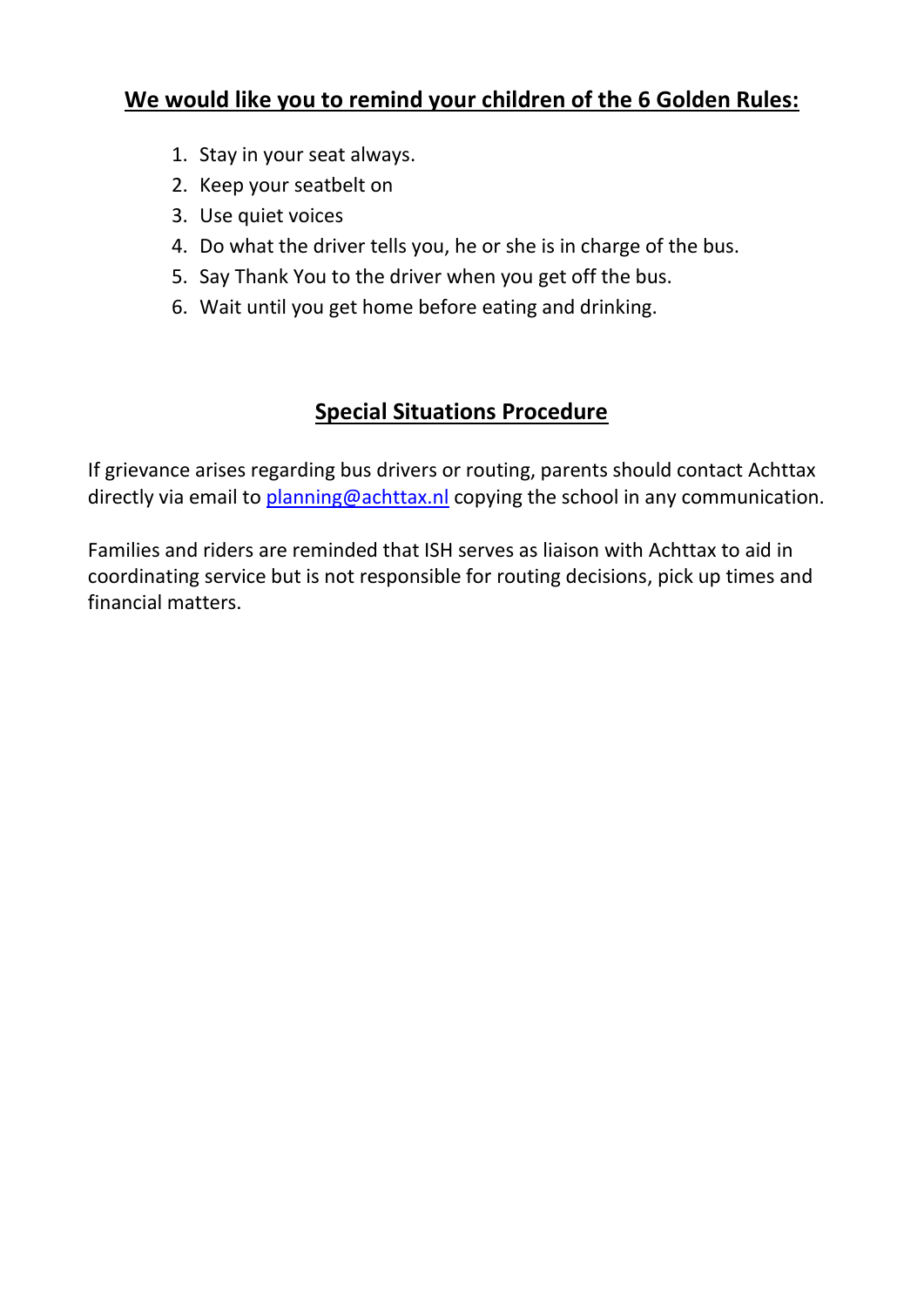# **We would like you to remind your children of the 6 Golden Rules:**

- 1. Stay in your seat always.
- 2. Keep your seatbelt on
- 3. Use quiet voices
- 4. Do what the driver tells you, he or she is in charge of the bus.
- 5. Say Thank You to the driver when you get off the bus.
- 6. Wait until you get home before eating and drinking.

# **Special Situations Procedure**

If grievance arises regarding bus drivers or routing, parents should contact Achttax directly via email to [planning@achttax.nl](mailto:Planning@achttax.nl) copying the school in any communication.

Families and riders are reminded that ISH serves as liaison with Achttax to aid in coordinating service but is not responsible for routing decisions, pick up times and financial matters.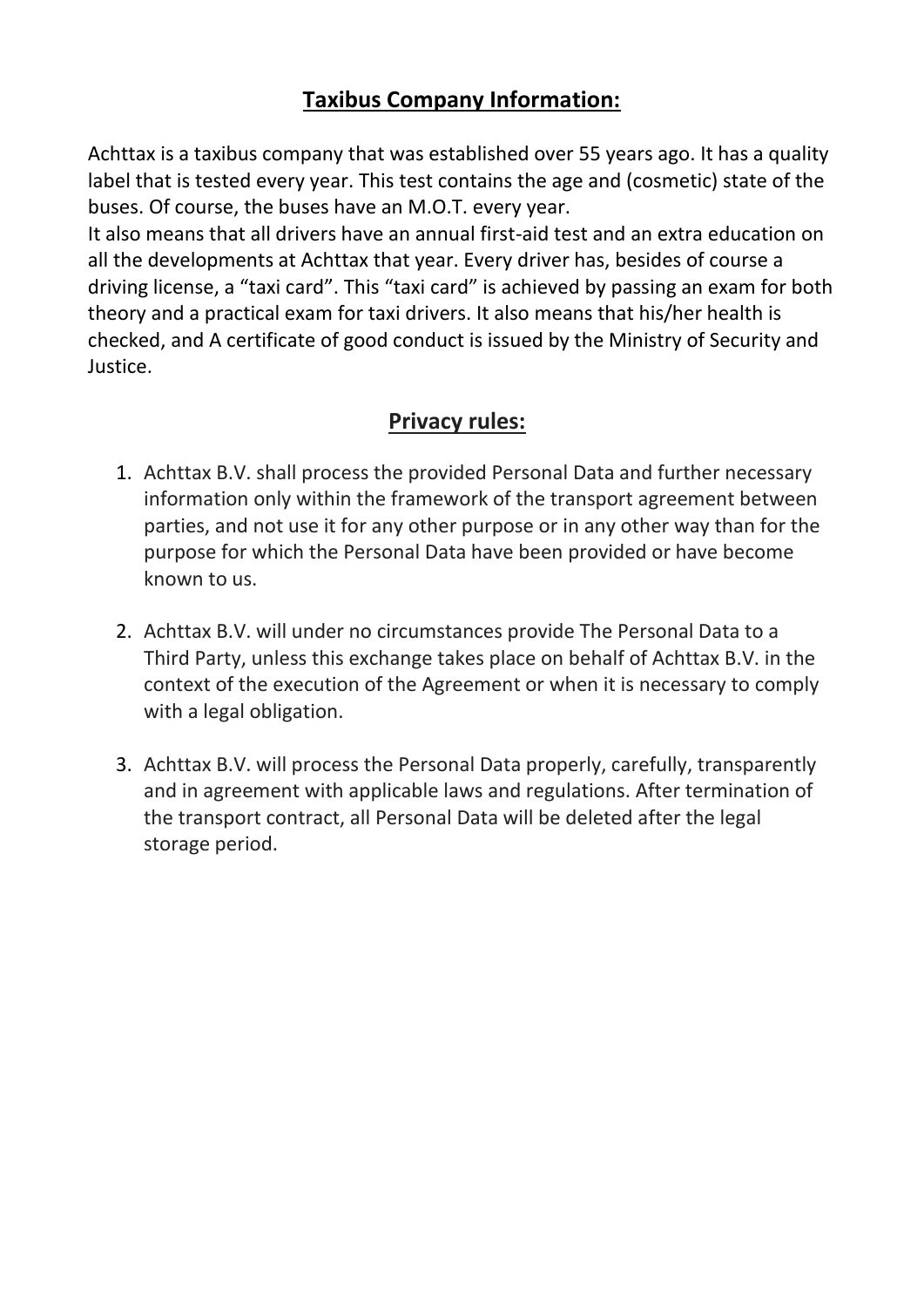# **Taxibus Company Information:**

Achttax is a taxibus company that was established over 55 years ago. It has a quality label that is tested every year. This test contains the age and (cosmetic) state of the buses. Of course, the buses have an M.O.T. every year.

It also means that all drivers have an annual first-aid test and an extra education on all the developments at Achttax that year. Every driver has, besides of course a driving license, a "taxi card". This "taxi card" is achieved by passing an exam for both theory and a practical exam for taxi drivers. It also means that his/her health is checked, and A certificate of good conduct is issued by the Ministry of Security and Justice.

# **Privacy rules:**

- 1. Achttax B.V. shall process the provided Personal Data and further necessary information only within the framework of the transport agreement between parties, and not use it for any other purpose or in any other way than for the purpose for which the Personal Data have been provided or have become known to us.
- 2. Achttax B.V. will under no circumstances provide The Personal Data to a Third Party, unless this exchange takes place on behalf of Achttax B.V. in the context of the execution of the Agreement or when it is necessary to comply with a legal obligation.
- 3. Achttax B.V. will process the Personal Data properly, carefully, transparently and in agreement with applicable laws and regulations. After termination of the transport contract, all Personal Data will be deleted after the legal storage period.